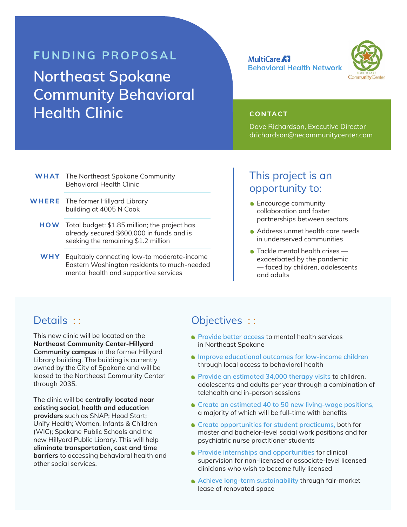# **FUNDING PROPOSAL Northeast Spokane Community Behavioral Health Clinic CONTACT**



Dave Richardson, Executive Director drichardson@necommunitycenter.com

| <b>WHAT</b> The Northeast Spokane Community |
|---------------------------------------------|
| <b>Behavioral Health Clinic</b>             |

- **WHERE** The former Hillyard Library building at 4005 N Cook
	- **HOW** Total budget: \$1.85 million; the project has already secured \$600,000 in funds and is seeking the remaining \$1.2 million
	- **WHY** Equitably connecting low-to moderate-income Eastern Washington residents to much-needed mental health and supportive services

## This project is an opportunity to:

- **•** Encourage community collaboration and foster partnerships between sectors
- Address unmet health care needs in underserved communities
- **Tackle mental health crises** exacerbated by the pandemic — faced by children, adolescents and adults

#### Details : :

This new clinic will be located on the **Northeast Community Center-Hillyard Community campus** in the former Hillyard Library building. The building is currently owned by the City of Spokane and will be leased to the Northeast Community Center through 2035.

The clinic will be **centrally located near existing social, health and education providers** such as SNAP; Head Start; Unify Health; Women, Infants & Children (WIC); Spokane Public Schools and the new Hillyard Public Library. This will help **eliminate transportation, cost and time barriers** to accessing behavioral health and other social services.

## Objectives ::

- **• Provide better access** to mental health services in Northeast Spokane
- **• Improve educational outcomes for low-income children** through local access to behavioral health
- **• Provide an estimated 34,000 therapy visits** to children, adolescents and adults per year through a combination of telehealth and in-person sessions
- **• Create an estimated 40 to 50 new living-wage positions,**  a majority of which will be full-time with benefits
- **• Create opportunities for student practicums,** both for master and bachelor-level social work positions and for psychiatric nurse practitioner students
- **• Provide internships and opportunities** for clinical supervision for non-licensed or associate-level licensed clinicians who wish to become fully licensed
- **• Achieve long-term sustainability** through fair-market lease of renovated space